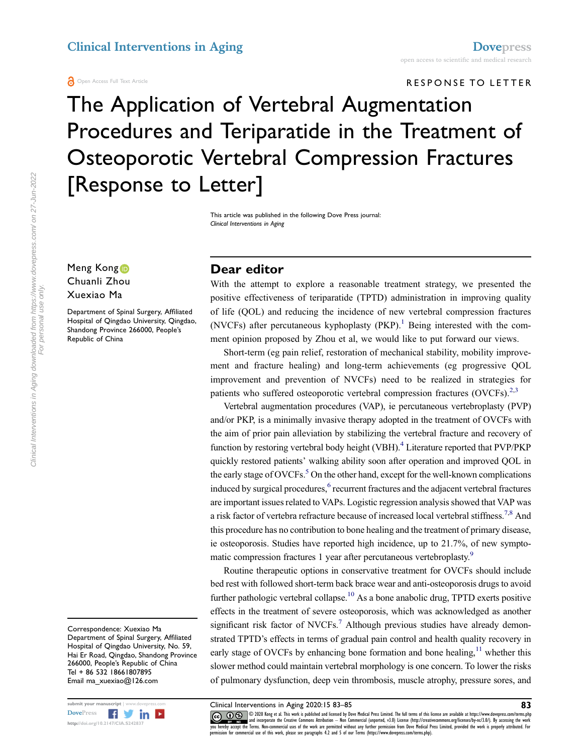**A** Open Access Full Text Article

clinical Interventions in Aging [Dovepress](http://www.dovepress.com) in Aging Dovepress to scientific and medical research

#### RESPONSE TO LETTER

The Application of Vertebral Augmentation Procedures and Teriparatide in the Treatment of Osteoporotic Vertebral Compression Fractures [Response to Letter]

> This article was published in the following Dove Press journal: Clinical Interventions in Aging

Meng Kong<sup>1</sup> Chuanli Zhou Xuexiao Ma

Department of Spinal Surgery, Affiliated Hospital of Qingdao University, Qingdao, Shandong Province 266000, People's Republic of China

Correspondence: Xuexiao Ma Department of Spinal Surgery, Affiliated Hospital of Qingdao University, No. 59, Hai Er Road, Qingdao, Shandong Province 266000, People's Republic of China Tel + 86 532 18661807895 Email ma\_xuexiao@126.com



Clinical Interventions in Aging downloaded from https://www.dovepress.com/ on 27-Jun-2022<br>For personal use only. Clinical Interventions in Aging downloaded from https://www.dovepress.com/ on 27-Jun-2022 For personal use only.

## Dear editor

With the attempt to explore a reasonable treatment strategy, we presented the positive effectiveness of teriparatide (TPTD) administration in improving quality of life (QOL) and reducing the incidence of new vertebral compression fractures (NVCFs) after percutaneous kyphoplasty  $(PKP)$ .<sup>[1](#page-1-0)</sup> Being interested with the comment opinion proposed by Zhou et al, we would like to put forward our views.

<span id="page-0-0"></span>Short-term (eg pain relief, restoration of mechanical stability, mobility improvement and fracture healing) and long-term achievements (eg progressive QOL improvement and prevention of NVCFs) need to be realized in strategies for patients who suffered osteoporotic vertebral compression fractures  $(OVCFs)$ <sup>[2](#page-1-1),[3](#page-1-2)</sup>

<span id="page-0-4"></span><span id="page-0-3"></span><span id="page-0-2"></span><span id="page-0-1"></span>Vertebral augmentation procedures (VAP), ie percutaneous vertebroplasty (PVP) and/or PKP, is a minimally invasive therapy adopted in the treatment of OVCFs with the aim of prior pain alleviation by stabilizing the vertebral fracture and recovery of function by restoring vertebral body height (VBH).<sup>4</sup> Literature reported that PVP/PKP quickly restored patients' walking ability soon after operation and improved QOL in the early stage of  $\text{OVCFs}$ <sup>5</sup>. On the other hand, except for the well-known complications induced by surgical procedures,<sup>[6](#page-1-5)</sup> recurrent fractures and the adjacent vertebral fractures are important issues related to VAPs. Logistic regression analysis showed that VAP was a risk factor of vertebra refracture because of increased local vertebral stiffness.<sup>[7](#page-1-6)[,8](#page-1-7)</sup> And this procedure has no contribution to bone healing and the treatment of primary disease, ie osteoporosis. Studies have reported high incidence, up to 21.7%, of new sympto-matic compression fractures 1 year after percutaneous vertebroplasty.<sup>[9](#page-1-8)</sup>

<span id="page-0-8"></span><span id="page-0-7"></span><span id="page-0-6"></span><span id="page-0-5"></span>Routine therapeutic options in conservative treatment for OVCFs should include bed rest with followed short-term back brace wear and anti-osteoporosis drugs to avoid further pathologic vertebral collapse.<sup>10</sup> As a bone anabolic drug, TPTD exerts positive effects in the treatment of severe osteoporosis, which was acknowledged as another significant risk factor of NVCFs.<sup>[7](#page-1-6)</sup> Although previous studies have already demonstrated TPTD's effects in terms of gradual pain control and health quality recovery in early stage of OVCFs by enhancing bone formation and bone healing,  $11$  whether this slower method could maintain vertebral morphology is one concern. To lower the risks of pulmonary dysfunction, deep vein thrombosis, muscle atrophy, pressure sores, and

<span id="page-0-9"></span>

submit your manuscript | www.dovepress.com **Clinical Interventions in Aging 2020:15 83–85** 83<br>DovePress **Figure 1999:00 Submit the Submit of the Submit Aging 2020:15 83–85** 83-85 83–85 83–85 83–85 83–85 83–85 83–85 83–85 8 DOVEN COLOR COLOR MORE IN SURFACE IN SURFACE IN THE SURFACE OF THE SURFACE OF THE SURFACE OF THE SURFACE OF THE SURFACE OF THE SURFACE OF THE SURFACE OF THE SURFACE OF THE SURFACE OF THE SURFACE OF THE SURFACE OF THE SURFA permission for commercial use of this work, please see paragraphs 4.2 and 5 of our Terms (https://www.dovepress.com/terms.php).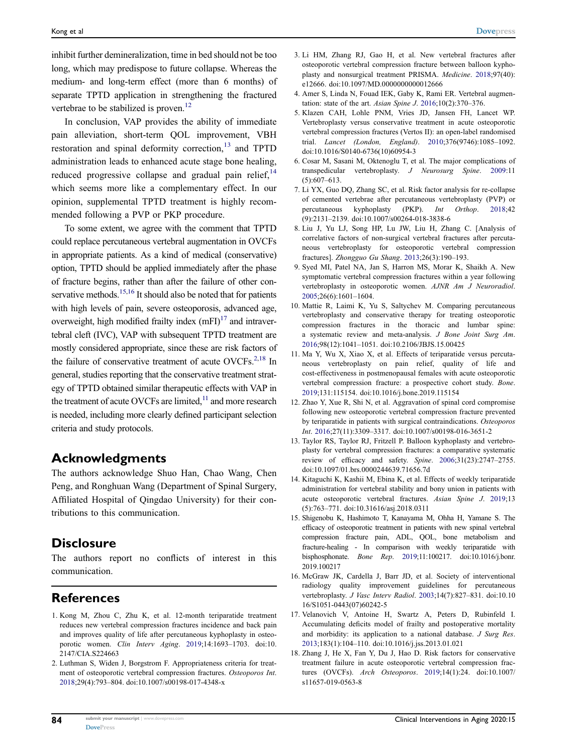inhibit further demineralization, time in bed should not be too long, which may predispose to future collapse. Whereas the medium- and long-term effect (more than 6 months) of separate TPTD application in strengthening the fractured vertebrae to be stabilized is proven.<sup>12</sup>

<span id="page-1-20"></span><span id="page-1-19"></span><span id="page-1-18"></span>In conclusion, VAP provides the ability of immediate pain alleviation, short-term QOL improvement, VBH restoration and spinal deformity correction.<sup>[13](#page-1-12)</sup> and TPTD administration leads to enhanced acute stage bone healing, reduced progressive collapse and gradual pain relief, $14$ which seems more like a complementary effect. In our opinion, supplemental TPTD treatment is highly recommended following a PVP or PKP procedure.

<span id="page-1-22"></span><span id="page-1-21"></span>To some extent, we agree with the comment that TPTD could replace percutaneous vertebral augmentation in OVCFs in appropriate patients. As a kind of medical (conservative) option, TPTD should be applied immediately after the phase of fracture begins, rather than after the failure of other con-servative methods.<sup>15[,16](#page-1-15)</sup> It should also be noted that for patients with high levels of pain, severe osteoporosis, advanced age, overweight, high modified frailty index  $(mFI)^{17}$  and intravertebral cleft (IVC), VAP with subsequent TPTD treatment are mostly considered appropriate, since these are risk factors of the failure of conservative treatment of acute OVCFs. $2,18$  $2,18$  In general, studies reporting that the conservative treatment strategy of TPTD obtained similar therapeutic effects with VAP in the treatment of acute OVCFs are limited, $11$  and more research is needed, including more clearly defined participant selection criteria and study protocols.

## <span id="page-1-23"></span>Acknowledgments

The authors acknowledge Shuo Han, Chao Wang, Chen Peng, and Ronghuan Wang (Department of Spinal Surgery, Affiliated Hospital of Qingdao University) for their contributions to this communication.

## **Disclosure**

The authors report no conflicts of interest in this communication.

# References

- <span id="page-1-0"></span>1. Kong M, Zhou C, Zhu K, et al. 12-month teriparatide treatment reduces new vertebral compression fractures incidence and back pain and improves quality of life after percutaneous kyphoplasty in osteoporotic women. Clin Interv Aging. [2019;](#page-0-0)14:1693–1703. doi:[10.](https://doi.org/10.2147/CIA.S224663) [2147/CIA.S224663](https://doi.org/10.2147/CIA.S224663)
- <span id="page-1-1"></span>2. Luthman S, Widen J, Borgstrom F. Appropriateness criteria for treatment of osteoporotic vertebral compression fractures. Osteoporos Int. [2018;](#page-0-1)29(4):793–804. doi:[10.1007/s00198-017-4348-x](https://doi.org/10.1007/s00198-017-4348-x)
- <span id="page-1-2"></span>3. Li HM, Zhang RJ, Gao H, et al. New vertebral fractures after osteoporotic vertebral compression fracture between balloon kyphoplasty and nonsurgical treatment PRISMA. Medicine. [2018;](#page-0-1)97(40): e12666. doi:[10.1097/MD.0000000000012666](https://doi.org/10.1097/MD.0000000000012666)
- <span id="page-1-3"></span>4. Amer S, Linda N, Fouad IEK, Gaby K, Rami ER. Vertebral augmentation: state of the art. Asian Spine J.  $2016;10(2):370-376$  $2016;10(2):370-376$ .
- <span id="page-1-4"></span>5. Klazen CAH, Lohle PNM, Vries JD, Jansen FH, Lancet WP. Vertebroplasty versus conservative treatment in acute osteoporotic vertebral compression fractures (Vertos II): an open-label randomised trial. Lancet (London, England). [2010;](#page-0-3)376(9746):1085–1092. doi:[10.1016/S0140-6736\(10\)60954-3](https://doi.org/10.1016/S0140-6736(10)60954-3)
- <span id="page-1-5"></span>6. Cosar M, Sasani M, Oktenoglu T, et al. The major complications of transpedicular vertebroplasty. J Neurosurg Spine. [2009](#page-0-4):11 (5):607–613.
- <span id="page-1-6"></span>7. Li YX, Guo DQ, Zhang SC, et al. Risk factor analysis for re-collapse of cemented vertebrae after percutaneous vertebroplasty (PVP) or percutaneous kyphoplasty (PKP). Int Orthop. [2018](#page-0-5);42 (9):2131–2139. doi:[10.1007/s00264-018-3838-6](https://doi.org/10.1007/s00264-018-3838-6)
- <span id="page-1-7"></span>8. Liu J, Yu LJ, Song HP, Lu JW, Liu H, Zhang C. [Analysis of correlative factors of non-surgical vertebral fractures after percutaneous vertebroplasty for osteoporotic vertebral compression fractures]. Zhongguo Gu Shang. [2013;](#page-0-6)26(3):190–193.
- <span id="page-1-8"></span>9. Syed MI, Patel NA, Jan S, Harron MS, Morar K, Shaikh A. New symptomatic vertebral compression fractures within a year following vertebroplasty in osteoporotic women. AJNR Am J Neuroradiol. [2005](#page-0-7);26(6):1601–1604.
- <span id="page-1-9"></span>10. Mattie R, Laimi K, Yu S, Saltychev M. Comparing percutaneous vertebroplasty and conservative therapy for treating osteoporotic compression fractures in the thoracic and lumbar spine: a systematic review and meta-analysis. J Bone Joint Surg Am. [2016](#page-0-8);98(12):1041–1051. doi:[10.2106/JBJS.15.00425](https://doi.org/10.2106/JBJS.15.00425)
- <span id="page-1-10"></span>11. Ma Y, Wu X, Xiao X, et al. Effects of teriparatide versus percutaneous vertebroplasty on pain relief, quality of life and cost-effectiveness in postmenopausal females with acute osteoporotic vertebral compression fracture: a prospective cohort study. Bone. [2019](#page-0-9);131:115154. doi:[10.1016/j.bone.2019.115154](https://doi.org/10.1016/j.bone.2019.115154)
- <span id="page-1-11"></span>12. Zhao Y, Xue R, Shi N, et al. Aggravation of spinal cord compromise following new osteoporotic vertebral compression fracture prevented by teriparatide in patients with surgical contraindications. Osteoporos Int. [2016;](#page-1-18)27(11):3309–3317. doi:[10.1007/s00198-016-3651-2](https://doi.org/10.1007/s00198-016-3651-2)
- <span id="page-1-12"></span>13. Taylor RS, Taylor RJ, Fritzell P. Balloon kyphoplasty and vertebroplasty for vertebral compression fractures: a comparative systematic review of efficacy and safety. Spine. [2006;](#page-1-19)31(23):2747–2755. doi:[10.1097/01.brs.0000244639.71656.7d](https://doi.org/10.1097/01.brs.0000244639.71656.7d)
- <span id="page-1-13"></span>14. Kitaguchi K, Kashii M, Ebina K, et al. Effects of weekly teriparatide administration for vertebral stability and bony union in patients with acute osteoporotic vertebral fractures. Asian Spine J. [2019](#page-1-20);13 (5):763–771. doi:[10.31616/asj.2018.0311](https://doi.org/10.31616/asj.2018.0311)
- <span id="page-1-14"></span>15. Shigenobu K, Hashimoto T, Kanayama M, Ohha H, Yamane S. The efficacy of osteoporotic treatment in patients with new spinal vertebral compression fracture pain, ADL, QOL, bone metabolism and fracture-healing - In comparison with weekly teriparatide with bisphosphonate. Bone Rep. [2019;](#page-1-21)11:100217. doi:[10.1016/j.bonr.](https://doi.org/10.1016/j.bonr.2019.100217) [2019.100217](https://doi.org/10.1016/j.bonr.2019.100217)
- <span id="page-1-15"></span>16. McGraw JK, Cardella J, Barr JD, et al. Society of interventional radiology quality improvement guidelines for percutaneous vertebroplasty. J Vasc Interv Radiol. [2003](#page-1-21);14(7):827-831. doi:[10.10](https://doi.org/10.1016/S1051-0443(07)60242-5) [16/S1051-0443\(07\)60242-5](https://doi.org/10.1016/S1051-0443(07)60242-5)
- <span id="page-1-16"></span>17. Velanovich V, Antoine H, Swartz A, Peters D, Rubinfeld I. Accumulating deficits model of frailty and postoperative mortality and morbidity: its application to a national database. J Surg Res. [2013](#page-1-22);183(1):104–110. doi:[10.1016/j.jss.2013.01.021](https://doi.org/10.1016/j.jss.2013.01.021)
- <span id="page-1-17"></span>18. Zhang J, He X, Fan Y, Du J, Hao D. Risk factors for conservative treatment failure in acute osteoporotic vertebral compression fractures (OVCFs). Arch Osteoporos. [2019](#page-1-23);14(1):24. doi:[10.1007/](https://doi.org/10.1007/s11657-019-0563-8) [s11657-019-0563-8](https://doi.org/10.1007/s11657-019-0563-8)